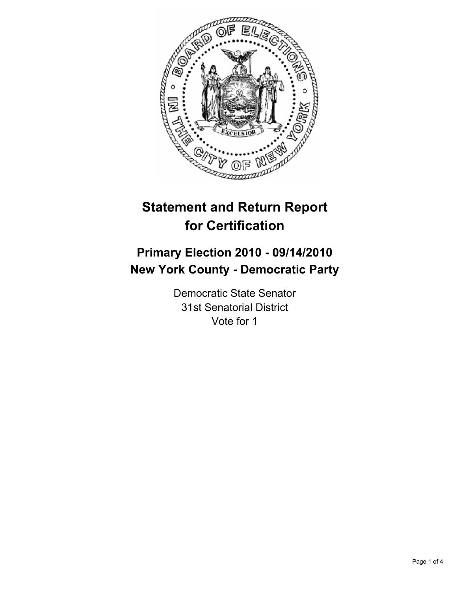

# **Statement and Return Report for Certification**

## **Primary Election 2010 - 09/14/2010 New York County - Democratic Party**

Democratic State Senator 31st Senatorial District Vote for 1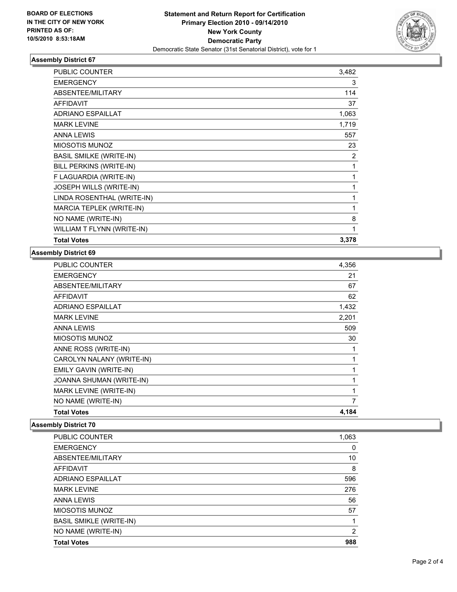

## **Assembly District 67**

| PUBLIC COUNTER                 | 3,482 |
|--------------------------------|-------|
| <b>EMERGENCY</b>               | 3     |
| ABSENTEE/MILITARY              | 114   |
| <b>AFFIDAVIT</b>               | 37    |
| <b>ADRIANO ESPAILLAT</b>       | 1,063 |
| <b>MARK LEVINE</b>             | 1,719 |
| <b>ANNA LEWIS</b>              | 557   |
| <b>MIOSOTIS MUNOZ</b>          | 23    |
| <b>BASIL SMILKE (WRITE-IN)</b> | 2     |
| BILL PERKINS (WRITE-IN)        | 1     |
| F LAGUARDIA (WRITE-IN)         | 1     |
| JOSEPH WILLS (WRITE-IN)        | 1     |
| LINDA ROSENTHAL (WRITE-IN)     | 1     |
| MARCIA TEPLEK (WRITE-IN)       | 1     |
| NO NAME (WRITE-IN)             | 8     |
| WILLIAM T FLYNN (WRITE-IN)     | 1     |
| <b>Total Votes</b>             | 3,378 |

#### **Assembly District 69**

| <b>PUBLIC COUNTER</b>     | 4,356 |
|---------------------------|-------|
| <b>EMERGENCY</b>          | 21    |
| ABSENTEE/MILITARY         | 67    |
| <b>AFFIDAVIT</b>          | 62    |
| <b>ADRIANO ESPAILLAT</b>  | 1,432 |
| <b>MARK LEVINE</b>        | 2,201 |
| <b>ANNA LEWIS</b>         | 509   |
| <b>MIOSOTIS MUNOZ</b>     | 30    |
| ANNE ROSS (WRITE-IN)      | 1     |
| CAROLYN NALANY (WRITE-IN) |       |
| EMILY GAVIN (WRITE-IN)    | 1     |
| JOANNA SHUMAN (WRITE-IN)  | 1     |
| MARK LEVINE (WRITE-IN)    | 1     |
| NO NAME (WRITE-IN)        | 7     |
| <b>Total Votes</b>        | 4,184 |

## **Assembly District 70**

| PUBLIC COUNTER                 | 1,063          |
|--------------------------------|----------------|
| <b>EMERGENCY</b>               | 0              |
| ABSENTEE/MILITARY              | 10             |
| AFFIDAVIT                      | 8              |
| <b>ADRIANO ESPAILLAT</b>       | 596            |
| <b>MARK LEVINE</b>             | 276            |
| <b>ANNA LEWIS</b>              | 56             |
| MIOSOTIS MUNOZ                 | 57             |
| <b>BASIL SMIKLE (WRITE-IN)</b> | 1              |
| NO NAME (WRITE-IN)             | $\overline{2}$ |
| <b>Total Votes</b>             | 988            |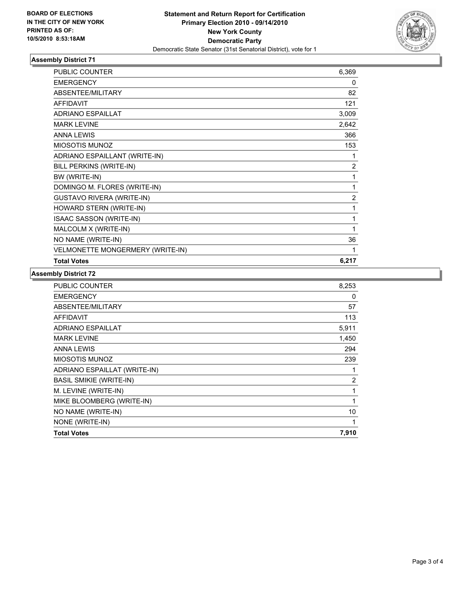

## **Assembly District 71**

| <b>PUBLIC COUNTER</b>            | 6,369          |
|----------------------------------|----------------|
| <b>EMERGENCY</b>                 | 0              |
| <b>ABSENTEE/MILITARY</b>         | 82             |
| <b>AFFIDAVIT</b>                 | 121            |
| <b>ADRIANO ESPAILLAT</b>         | 3,009          |
| <b>MARK LEVINE</b>               | 2,642          |
| <b>ANNA LEWIS</b>                | 366            |
| <b>MIOSOTIS MUNOZ</b>            | 153            |
| ADRIANO ESPAILLANT (WRITE-IN)    | 1              |
| BILL PERKINS (WRITE-IN)          | 2              |
| BW (WRITE-IN)                    | 1              |
| DOMINGO M. FLORES (WRITE-IN)     | 1              |
| <b>GUSTAVO RIVERA (WRITE-IN)</b> | $\overline{2}$ |
| HOWARD STERN (WRITE-IN)          | 1              |
| ISAAC SASSON (WRITE-IN)          | 1              |
| MALCOLM X (WRITE-IN)             | 1              |
| NO NAME (WRITE-IN)               | 36             |
| VELMONETTE MONGERMERY (WRITE-IN) | 1              |
| <b>Total Votes</b>               | 6,217          |

#### **Assembly District 72**

| 8,253          |
|----------------|
| 0              |
| 57             |
| 113            |
| 5,911          |
| 1,450          |
| 294            |
| 239            |
| 1              |
| $\overline{2}$ |
| 1              |
| 1              |
| 10             |
| 1              |
| 7,910          |
|                |